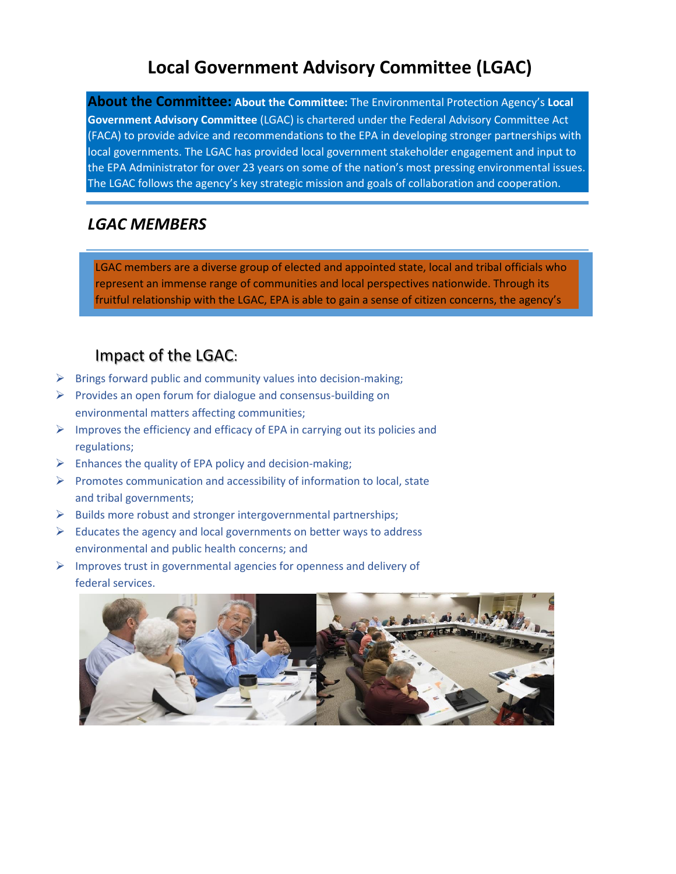# **Local Government Advisory Committee (LGAC)**

**About the Committee: About the Committee:** The Environmental Protection Agency's **Local Government Advisory Committee** (LGAC) is chartered under the Federal Advisory Committee Act (FACA) to provide advice and recommendations to the EPA in developing stronger partnerships with local governments. The LGAC has provided local government stakeholder engagement and input to the EPA Administrator for over 23 years on some of the nation's most pressing environmental issues. The LGAC follows the agency's key strategic mission and goals of collaboration and cooperation.

## *LGAC MEMBERS*

LGAC members are a diverse group of elected and appointed state, local and tribal officials who represent an immense range of communities and local perspectives nationwide. Through its fruitful relationship with the LGAC, EPA is able to gain a sense of citizen concerns, the agency's

# Impact of the LGAC:

 $\triangleright$  Brings forward public and community values into decision-making;

obligations and how needs can be fulfilled by government.

- $\triangleright$  Provides an open forum for dialogue and consensus-building on environmental matters affecting communities;
- $\triangleright$  Improves the efficiency and efficacy of EPA in carrying out its policies and regulations;
- $\triangleright$  Enhances the quality of EPA policy and decision-making;
- ➢ Promotes communication and accessibility of information to local, state and tribal governments;
- ➢ Builds more robust and stronger intergovernmental partnerships;
- $\triangleright$  Educates the agency and local governments on better ways to address environmental and public health concerns; and
- ➢ Improves trust in governmental agencies for openness and delivery of federal services.